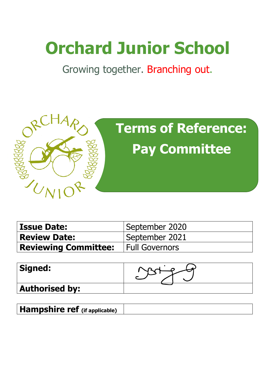# **Orchard Junior School**

Growing together. Branching out.



| <b>Issue Date:</b>                         | September 2020 |
|--------------------------------------------|----------------|
| <b>Review Date:</b>                        | September 2021 |
| <b>Reviewing Committee:</b> Full Governors |                |

| <b>Signed:</b>        |  |
|-----------------------|--|
| <b>Authorised by:</b> |  |

**Hampshire ref (if applicable)**